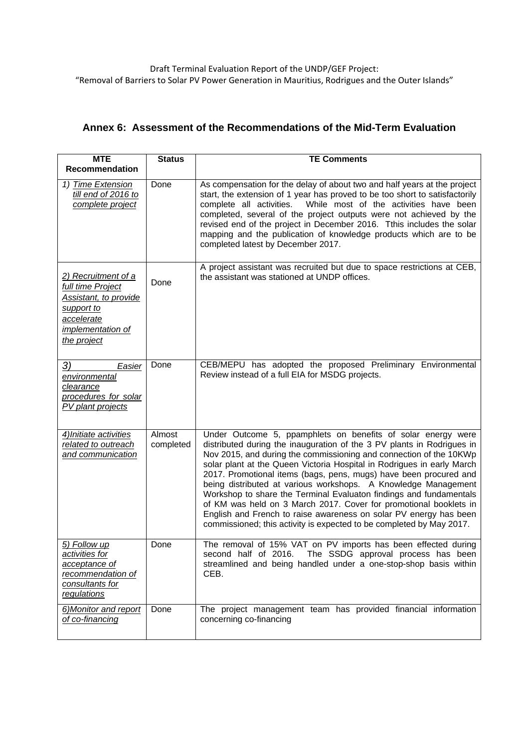## **Annex 6: Assessment of the Recommendations of the Mid-Term Evaluation**

| <b>MTE</b><br><b>Recommendation</b>                                                                                               | <b>Status</b>       | <b>TE Comments</b>                                                                                                                                                                                                                                                                                                                                                                                                                                                                                                                                                                                                                                                                                                    |
|-----------------------------------------------------------------------------------------------------------------------------------|---------------------|-----------------------------------------------------------------------------------------------------------------------------------------------------------------------------------------------------------------------------------------------------------------------------------------------------------------------------------------------------------------------------------------------------------------------------------------------------------------------------------------------------------------------------------------------------------------------------------------------------------------------------------------------------------------------------------------------------------------------|
| 1) Time Extension<br>till end of 2016 to<br>complete project                                                                      | Done                | As compensation for the delay of about two and half years at the project<br>start, the extension of 1 year has proved to be too short to satisfactorily<br>While most of the activities have been<br>complete all activities.<br>completed, several of the project outputs were not achieved by the<br>revised end of the project in December 2016. Tthis includes the solar<br>mapping and the publication of knowledge products which are to be<br>completed latest by December 2017.                                                                                                                                                                                                                               |
| 2) Recruitment of a<br>full time Project<br>Assistant, to provide<br>support to<br>accelerate<br>implementation of<br>the project | Done                | A project assistant was recruited but due to space restrictions at CEB,<br>the assistant was stationed at UNDP offices.                                                                                                                                                                                                                                                                                                                                                                                                                                                                                                                                                                                               |
| 3)<br>Easier<br>environmental<br>clearance<br>procedures for solar<br>PV plant projects                                           | Done                | CEB/MEPU has adopted the proposed Preliminary Environmental<br>Review instead of a full EIA for MSDG projects.                                                                                                                                                                                                                                                                                                                                                                                                                                                                                                                                                                                                        |
| 4) Initiate activities<br>related to outreach<br>and communication                                                                | Almost<br>completed | Under Outcome 5, ppamphlets on benefits of solar energy were<br>distributed during the inauguration of the 3 PV plants in Rodrigues in<br>Nov 2015, and during the commissioning and connection of the 10KWp<br>solar plant at the Queen Victoria Hospital in Rodrigues in early March<br>2017. Promotional items (bags, pens, mugs) have been procured and<br>being distributed at various workshops. A Knowledge Management<br>Workshop to share the Terminal Evaluaton findings and fundamentals<br>of KM was held on 3 March 2017. Cover for promotional booklets in<br>English and French to raise awareness on solar PV energy has been<br>commissioned; this activity is expected to be completed by May 2017. |
| 5) Follow up<br>activities for<br>acceptance of<br>recommendation of<br>consultants for<br>regulations                            | Done                | The removal of 15% VAT on PV imports has been effected during<br>second half of 2016.<br>The SSDG approval process has been<br>streamlined and being handled under a one-stop-shop basis within<br>CEB.                                                                                                                                                                                                                                                                                                                                                                                                                                                                                                               |
| 6) Monitor and report<br>of co-financing                                                                                          | Done                | The project management team has provided financial information<br>concerning co-financing                                                                                                                                                                                                                                                                                                                                                                                                                                                                                                                                                                                                                             |